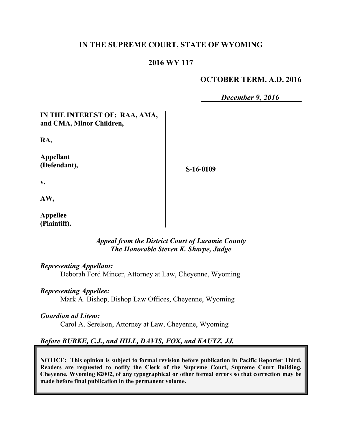# **IN THE SUPREME COURT, STATE OF WYOMING**

# **2016 WY 117**

### **OCTOBER TERM, A.D. 2016**

*December 9, 2016*

# **IN THE INTEREST OF: RAA, AMA, and CMA, Minor Children,**

**RA,**

**Appellant (Defendant),**

**S-16-0109**

**v.**

**AW,**

**Appellee (Plaintiff).**

### *Appeal from the District Court of Laramie County The Honorable Steven K. Sharpe, Judge*

#### *Representing Appellant:*

Deborah Ford Mincer, Attorney at Law, Cheyenne, Wyoming

### *Representing Appellee:*

Mark A. Bishop, Bishop Law Offices, Cheyenne, Wyoming

### *Guardian ad Litem:*

Carol A. Serelson, Attorney at Law, Cheyenne, Wyoming

# *Before BURKE, C.J., and HILL, DAVIS, FOX, and KAUTZ, JJ.*

**NOTICE: This opinion is subject to formal revision before publication in Pacific Reporter Third. Readers are requested to notify the Clerk of the Supreme Court, Supreme Court Building, Cheyenne, Wyoming 82002, of any typographical or other formal errors so that correction may be made before final publication in the permanent volume.**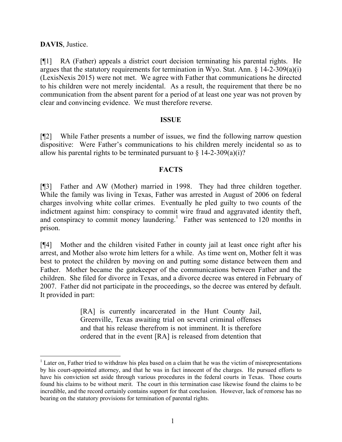# **DAVIS**, Justice.

[¶1] RA (Father) appeals a district court decision terminating his parental rights. He argues that the statutory requirements for termination in Wyo. Stat. Ann. § 14-2-309(a)(i) (LexisNexis 2015) were not met. We agree with Father that communications he directed to his children were not merely incidental. As a result, the requirement that there be no communication from the absent parent for a period of at least one year was not proven by clear and convincing evidence. We must therefore reverse.

### **ISSUE**

[¶2] While Father presents a number of issues, we find the following narrow question dispositive: Were Father's communications to his children merely incidental so as to allow his parental rights to be terminated pursuant to  $\S$  14-2-309(a)(i)?

# **FACTS**

[¶3] Father and AW (Mother) married in 1998. They had three children together. While the family was living in Texas, Father was arrested in August of 2006 on federal charges involving white collar crimes. Eventually he pled guilty to two counts of the indictment against him: conspiracy to commit wire fraud and aggravated identity theft, and conspiracy to commit money laundering.<sup>1</sup> Father was sentenced to  $120$  months in prison.

[¶4] Mother and the children visited Father in county jail at least once right after his arrest, and Mother also wrote him letters for a while. As time went on, Mother felt it was best to protect the children by moving on and putting some distance between them and Father. Mother became the gatekeeper of the communications between Father and the children. She filed for divorce in Texas, and a divorce decree was entered in February of 2007. Father did not participate in the proceedings, so the decree was entered by default. It provided in part:

> [RA] is currently incarcerated in the Hunt County Jail, Greenville, Texas awaiting trial on several criminal offenses and that his release therefrom is not imminent. It is therefore ordered that in the event [RA] is released from detention that

 $<sup>1</sup>$  Later on, Father tried to withdraw his plea based on a claim that he was the victim of misrepresentations</sup> by his court-appointed attorney, and that he was in fact innocent of the charges. He pursued efforts to have his conviction set aside through various procedures in the federal courts in Texas. Those courts found his claims to be without merit. The court in this termination case likewise found the claims to be incredible, and the record certainly contains support for that conclusion. However, lack of remorse has no bearing on the statutory provisions for termination of parental rights.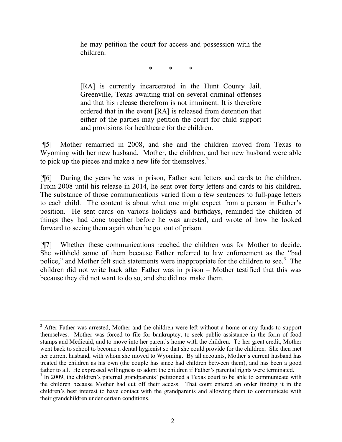he may petition the court for access and possession with the children.

\* \* \*

[RA] is currently incarcerated in the Hunt County Jail, Greenville, Texas awaiting trial on several criminal offenses and that his release therefrom is not imminent. It is therefore ordered that in the event [RA] is released from detention that either of the parties may petition the court for child support and provisions for healthcare for the children.

[¶5] Mother remarried in 2008, and she and the children moved from Texas to Wyoming with her new husband. Mother, the children, and her new husband were able to pick up the pieces and make a new life for themselves.<sup>2</sup>

[¶6] During the years he was in prison, Father sent letters and cards to the children. From 2008 until his release in 2014, he sent over forty letters and cards to his children. The substance of those communications varied from a few sentences to full-page letters to each child. The content is about what one might expect from a person in Father's position. He sent cards on various holidays and birthdays, reminded the children of things they had done together before he was arrested, and wrote of how he looked forward to seeing them again when he got out of prison.

[¶7] Whether these communications reached the children was for Mother to decide. She withheld some of them because Father referred to law enforcement as the "bad police," and Mother felt such statements were inappropriate for the children to see.<sup>3</sup> The children did not write back after Father was in prison – Mother testified that this was because they did not want to do so, and she did not make them.

<sup>&</sup>lt;sup>2</sup> After Father was arrested, Mother and the children were left without a home or any funds to support themselves. Mother was forced to file for bankruptcy, to seek public assistance in the form of food stamps and Medicaid, and to move into her parent's home with the children. To her great credit, Mother went back to school to become a dental hygienist so that she could provide for the children. She then met her current husband, with whom she moved to Wyoming. By all accounts, Mother's current husband has treated the children as his own (the couple has since had children between them), and has been a good father to all. He expressed willingness to adopt the children if Father's parental rights were terminated.

<sup>&</sup>lt;sup>3</sup> In 2009, the children's paternal grandparents' petitioned a Texas court to be able to communicate with the children because Mother had cut off their access. That court entered an order finding it in the children's best interest to have contact with the grandparents and allowing them to communicate with their grandchildren under certain conditions.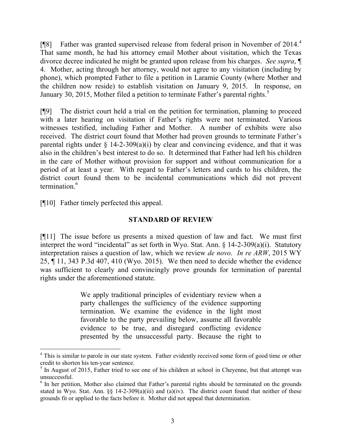[¶8] Father was granted supervised release from federal prison in November of 2014.<sup>4</sup> That same month, he had his attorney email Mother about visitation, which the Texas divorce decree indicated he might be granted upon release from his charges. *See supra*, ¶ 4. Mother, acting through her attorney, would not agree to any visitation (including by phone), which prompted Father to file a petition in Laramie County (where Mother and the children now reside) to establish visitation on January 9, 2015. In response, on January 30, 2015, Mother filed a petition to terminate Father's parental rights.<sup>5</sup>

[¶9] The district court held a trial on the petition for termination, planning to proceed with a later hearing on visitation if Father's rights were not terminated. Various witnesses testified, including Father and Mother. A number of exhibits were also received. The district court found that Mother had proven grounds to terminate Father's parental rights under  $\S$  14-2-309(a)(i) by clear and convincing evidence, and that it was also in the children's best interest to do so. It determined that Father had left his children in the care of Mother without provision for support and without communication for a period of at least a year. With regard to Father's letters and cards to his children, the district court found them to be incidental communications which did not prevent termination.<sup>6</sup>

[¶10] Father timely perfected this appeal.

l

# **STANDARD OF REVIEW**

[¶11] The issue before us presents a mixed question of law and fact. We must first interpret the word "incidental" as set forth in Wyo. Stat. Ann. § 14-2-309(a)(i). Statutory interpretation raises a question of law, which we review *de novo*. *In re ARW*, 2015 WY 25, ¶ 11, 343 P.3d 407, 410 (Wyo. 2015). We then need to decide whether the evidence was sufficient to clearly and convincingly prove grounds for termination of parental rights under the aforementioned statute.

> We apply traditional principles of evidentiary review when a party challenges the sufficiency of the evidence supporting termination. We examine the evidence in the light most favorable to the party prevailing below, assume all favorable evidence to be true, and disregard conflicting evidence presented by the unsuccessful party. Because the right to

<sup>&</sup>lt;sup>4</sup> This is similar to parole in our state system. Father evidently received some form of good time or other credit to shorten his ten-year sentence.

<sup>&</sup>lt;sup>5</sup> In August of 2015, Father tried to see one of his children at school in Cheyenne, but that attempt was unsuccessful.

<sup>&</sup>lt;sup>6</sup> In her petition, Mother also claimed that Father's parental rights should be terminated on the grounds stated in Wyo. Stat. Ann.  $\S$ , 14-2-309(a)(iii) and (a)(iv). The district court found that neither of these grounds fit or applied to the facts before it. Mother did not appeal that determination.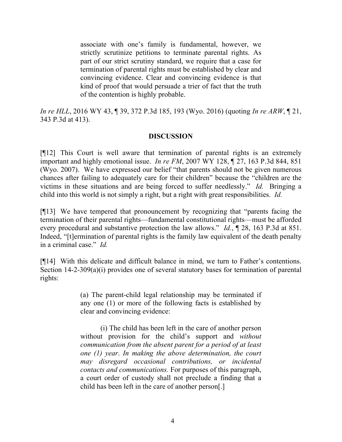associate with one's family is fundamental, however, we strictly scrutinize petitions to terminate parental rights. As part of our strict scrutiny standard, we require that a case for termination of parental rights must be established by clear and convincing evidence. Clear and convincing evidence is that kind of proof that would persuade a trier of fact that the truth of the contention is highly probable.

*In re HLL*, 2016 WY 43, ¶ 39, 372 P.3d 185, 193 (Wyo. 2016) (quoting *In re ARW*, ¶ 21, 343 P.3d at 413).

### **DISCUSSION**

[¶12] This Court is well aware that termination of parental rights is an extremely important and highly emotional issue. *In re FM*, 2007 WY 128, ¶ 27, 163 P.3d 844, 851 (Wyo. 2007). We have expressed our belief "that parents should not be given numerous chances after failing to adequately care for their children" because the "children are the victims in these situations and are being forced to suffer needlessly." *Id.* Bringing a child into this world is not simply a right, but a right with great responsibilities. *Id.*

[¶13] We have tempered that pronouncement by recognizing that "parents facing the termination of their parental rights—fundamental constitutional rights—must be afforded every procedural and substantive protection the law allows." *Id.*, ¶ 28, 163 P.3d at 851. Indeed, "[t]ermination of parental rights is the family law equivalent of the death penalty in a criminal case." *Id.*

[¶14] With this delicate and difficult balance in mind, we turn to Father's contentions. Section 14-2-309(a)(i) provides one of several statutory bases for termination of parental rights:

> (a) The parent-child legal relationship may be terminated if any one (1) or more of the following facts is established by clear and convincing evidence:

> (i) The child has been left in the care of another person without provision for the child's support and *without communication from the absent parent for a period of at least one (1) year*. *In making the above determination, the court may disregard occasional contributions, or incidental contacts and communications.* For purposes of this paragraph, a court order of custody shall not preclude a finding that a child has been left in the care of another person[.]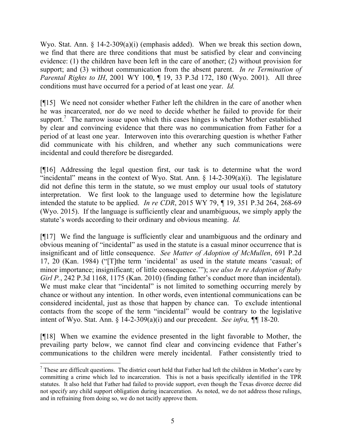Wyo. Stat. Ann. § 14-2-309(a)(i) (emphasis added). When we break this section down, we find that there are three conditions that must be satisfied by clear and convincing evidence: (1) the children have been left in the care of another; (2) without provision for support; and (3) without communication from the absent parent. *In re Termination of Parental Rights to IH*, 2001 WY 100, ¶ 19, 33 P.3d 172, 180 (Wyo. 2001). All three conditions must have occurred for a period of at least one year. *Id.*

[¶15] We need not consider whether Father left the children in the care of another when he was incarcerated, nor do we need to decide whether he failed to provide for their support.<sup>7</sup> The narrow issue upon which this cases hinges is whether Mother established by clear and convincing evidence that there was no communication from Father for a period of at least one year. Interwoven into this overarching question is whether Father did communicate with his children, and whether any such communications were incidental and could therefore be disregarded.

[¶16] Addressing the legal question first, our task is to determine what the word "incidental" means in the context of Wyo. Stat. Ann.  $\S$  14-2-309(a)(i). The legislature did not define this term in the statute, so we must employ our usual tools of statutory interpretation. We first look to the language used to determine how the legislature intended the statute to be applied. *In re CDR*, 2015 WY 79, ¶ 19, 351 P.3d 264, 268-69 (Wyo. 2015). If the language is sufficiently clear and unambiguous, we simply apply the statute's words according to their ordinary and obvious meaning. *Id.*

[¶17] We find the language is sufficiently clear and unambiguous and the ordinary and obvious meaning of "incidental" as used in the statute is a casual minor occurrence that is insignificant and of little consequence. *See Matter of Adoption of McMullen*, 691 P.2d 17, 20 (Kan. 1984) ("[T]the term 'incidental' as used in the statute means 'casual; of minor importance; insignificant; of little consequence.'"); *see also In re Adoption of Baby Girl P.*, 242 P.3d 1168, 1175 (Kan. 2010) (finding father's conduct more than incidental). We must make clear that "incidental" is not limited to something occurring merely by chance or without any intention. In other words, even intentional communications can be considered incidental, just as those that happen by chance can. To exclude intentional contacts from the scope of the term "incidental" would be contrary to the legislative intent of Wyo. Stat. Ann. § 14-2-309(a)(i) and our precedent. *See infra, ¶¶* 18-20.

[¶18] When we examine the evidence presented in the light favorable to Mother, the prevailing party below, we cannot find clear and convincing evidence that Father's communications to the children were merely incidental. Father consistently tried to

 $\overline{a}$ 

 $<sup>7</sup>$  These are difficult questions. The district court held that Father had left the children in Mother's care by</sup> committing a crime which led to incarceration. This is not a basis specifically identified in the TPR statutes. It also held that Father had failed to provide support, even though the Texas divorce decree did not specify any child support obligation during incarceration. As noted, we do not address those rulings, and in refraining from doing so, we do not tacitly approve them.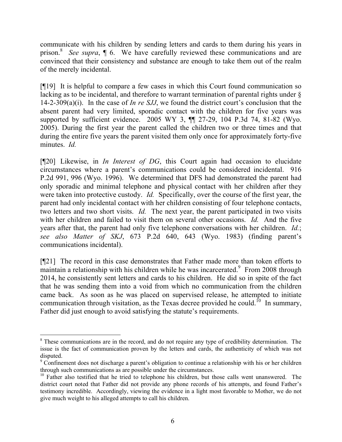communicate with his children by sending letters and cards to them during his years in prison.<sup>8</sup> See supra, 1 6. We have carefully reviewed these communications and are convinced that their consistency and substance are enough to take them out of the realm of the merely incidental.

[¶19] It is helpful to compare a few cases in which this Court found communication so lacking as to be incidental, and therefore to warrant termination of parental rights under § 14-2-309(a)(i). In the case of *In re SJJ*, we found the district court's conclusion that the absent parent had very limited, sporadic contact with the children for five years was supported by sufficient evidence. 2005 WY 3, ¶¶ 27-29, 104 P.3d 74, 81-82 (Wyo. 2005). During the first year the parent called the children two or three times and that during the entire five years the parent visited them only once for approximately forty-five minutes. *Id.*

[¶20] Likewise, in *In Interest of DG*, this Court again had occasion to elucidate circumstances where a parent's communications could be considered incidental. 916 P.2d 991, 996 (Wyo. 1996). We determined that DFS had demonstrated the parent had only sporadic and minimal telephone and physical contact with her children after they were taken into protective custody. *Id.* Specifically, over the course of the first year, the parent had only incidental contact with her children consisting of four telephone contacts, two letters and two short visits. *Id.* The next year, the parent participated in two visits with her children and failed to visit them on several other occasions. *Id.* And the five years after that, the parent had only five telephone conversations with her children. *Id.*; *see also Matter of SKJ*, 673 P.2d 640, 643 (Wyo. 1983) (finding parent's communications incidental).

[¶21] The record in this case demonstrates that Father made more than token efforts to maintain a relationship with his children while he was incarcerated. $9$  From 2008 through 2014, he consistently sent letters and cards to his children. He did so in spite of the fact that he was sending them into a void from which no communication from the children came back. As soon as he was placed on supervised release, he attempted to initiate communication through visitation, as the Texas decree provided he could.<sup>10</sup> In summary, Father did just enough to avoid satisfying the statute's requirements.

 $\overline{a}$ 

<sup>&</sup>lt;sup>8</sup> These communications are in the record, and do not require any type of credibility determination. The issue is the fact of communication proven by the letters and cards, the authenticity of which was not disputed.

<sup>&</sup>lt;sup>9</sup> Confinement does not discharge a parent's obligation to continue a relationship with his or her children through such communications as are possible under the circumstances.

<sup>&</sup>lt;sup>10</sup> Father also testified that he tried to telephone his children, but those calls went unanswered. The district court noted that Father did not provide any phone records of his attempts, and found Father's testimony incredible. Accordingly, viewing the evidence in a light most favorable to Mother, we do not give much weight to his alleged attempts to call his children.